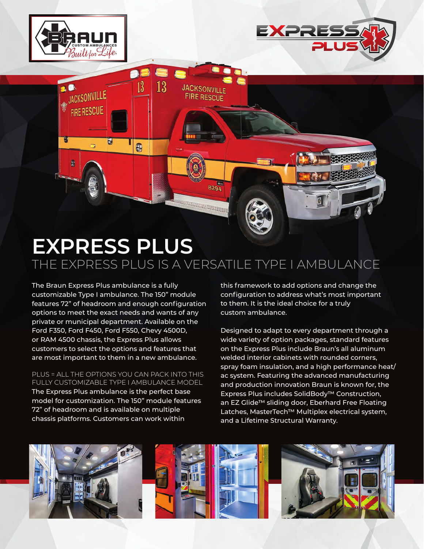

ACKSONVILLE

9

**FIRE RESCUE** 

 $\overline{a}$ 

U



## **EXPRESS PLUS** THE EXPRESS PLUS IS A VERSATILE TYPE I AMBULANCE

8294

**GROMAD PARTIES** 

**JACKSONVILLE FIRE RESCUE** 

13

13

Đ

The Braun Express Plus ambulance is a fully customizable Type I ambulance. The 150" module features 72" of headroom and enough configuration options to meet the exact needs and wants of any private or municipal department. Available on the Ford F350, Ford F450, Ford F550, Chevy 4500D, or RAM 4500 chassis, the Express Plus allows customers to select the options and features that are most important to them in a new ambulance.

PLUS = ALL THE OPTIONS YOU CAN PACK INTO THIS FULLY CUSTOMIZABLE TYPE I AMBULANCE MODEL The Express Plus ambulance is the perfect base model for customization. The 150" module features 72" of headroom and is available on multiple chassis platforms. Customers can work within

this framework to add options and change the configuration to address what's most important to them. It is the ideal choice for a truly custom ambulance.

Designed to adapt to every department through a wide variety of option packages, standard features on the Express Plus include Braun's all aluminum welded interior cabinets with rounded corners, spray foam insulation, and a high performance heat/ ac system. Featuring the advanced manufacturing and production innovation Braun is known for, the Express Plus includes SolidBody™ Construction, an EZ Glide™ sliding door, Eberhard Free Floating Latches, MasterTech™ Multiplex electrical system, and a Lifetime Structural Warranty.